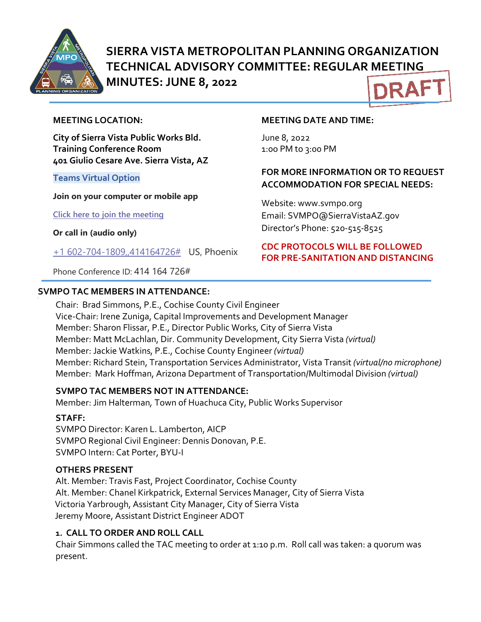

# **SIERRA VISTA METROPOLITAN PLANNING ORGANIZATION TECHNICAL ADVISORY COMMITTEE: REGULAR MEETING MINUTES: JUNE 8, 2022 DRAF**

#### **MEETING LOCATION:**

**City of Sierra Vista Public Works Bld. Training Conference Room 401 Giulio Cesare Ave. Sierra Vista, AZ**

#### **Teams Virtual Option**

**Join on your computer or mobile app**

**[Click here to join the meeting](https://teams.microsoft.com/l/meetup-join/19%3ameeting_NDQzZjc3ZWQtYjRjNS00OTZkLWJkOGQtZjM4OTdkYzIwN2Fm%40thread.v2/0?context=%7b%22Tid%22%3a%2236676c86-4a76-422a-8d4e-223152386488%22%2c%22Oid%22%3a%22956098f9-794b-4934-9a34-9a99f53bf1f3%22%7d)**

**Or call in (audio only)**

[+1 602-704-1809,,414164726#](tel:+16027041809,,414164726#%20) US, Phoenix

Phone Conference ID: 414 164 726#

#### **SVMPO TAC MEMBERS IN ATTENDANCE:**

#### **MEETING DATE AND TIME:**

June 8, 2022 1:0o PM to 3:00 PM

#### **FOR MORE INFORMATION OR TO REQUEST ACCOMMODATION FOR SPECIAL NEEDS:**

Website: www.svmpo.org Email: SVMPO@SierraVistaAZ.gov Director's Phone: 520-515-8525

#### **CDC PROTOCOLS WILL BE FOLLOWED FOR PRE-SANITATION AND DISTANCING**

Chair: Brad Simmons, P.E., Cochise County Civil Engineer Vice-Chair: Irene Zuniga, Capital Improvements and Development Manager Member: Sharon Flissar, P.E., Director Public Works, City of Sierra Vista Member: Matt McLachlan, Dir. Community Development, City Sierra Vista *(virtual)* Member: Jackie Watkins, P.E., Cochise County Engineer *(virtual)* Member: Richard Stein, Transportation Services Administrator, Vista Transit *(virtual/no microphone)* Member: Mark Hoffman, Arizona Department of Transportation/Multimodal Division *(virtual)*

#### **SVMPO TAC MEMBERS NOT IN ATTENDANCE:**

Member: Jim Halterman*,* Town of Huachuca City, Public Works Supervisor

#### **STAFF:**

SVMPO Director: Karen L. Lamberton, AICP SVMPO Regional Civil Engineer: Dennis Donovan, P.E. SVMPO Intern: Cat Porter, BYU-I

#### **OTHERS PRESENT**

Alt. Member: Travis Fast, Project Coordinator, Cochise County Alt. Member: Chanel Kirkpatrick, External Services Manager, City of Sierra Vista Victoria Yarbrough, Assistant City Manager, City of Sierra Vista Jeremy Moore, Assistant District Engineer ADOT

#### **1. CALL TO ORDER AND ROLL CALL**

Chair Simmons called the TAC meeting to order at 1:10 p.m. Roll call was taken: a quorum was present.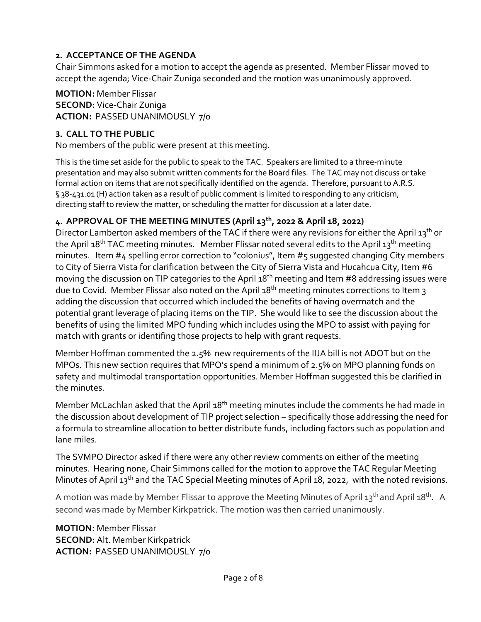#### **2. ACCEPTANCE OF THE AGENDA**

Chair Simmons asked for a motion to accept the agenda as presented. Member Flissar moved to accept the agenda; Vice-Chair Zuniga seconded and the motion was unanimously approved.

#### **MOTION:** Member Flissar **SECOND:** Vice-Chair Zuniga **ACTION:** PASSED UNANIMOUSLY 7/0

## **3. CALL TO THE PUBLIC**

No members of the public were present at this meeting.

This is the time set aside for the public to speak to the TAC. Speakers are limited to a three-minute presentation and may also submit written comments for the Board files. The TAC may not discuss or take formal action on items that are not specifically identified on the agenda. Therefore, pursuant to A.R.S. § 38-431.01 (H) action taken as a result of public comment is limited to responding to any criticism, directing staff to review the matter, or scheduling the matter for discussion at a later date.

## **4. APPROVAL OF THE MEETING MINUTES (April 13th, 2022 & April 18, 2022)**

Director Lamberton asked members of the TAC if there were any revisions for either the April 13<sup>th</sup> or the April 18<sup>th</sup> TAC meeting minutes. Member Flissar noted several edits to the April 13<sup>th</sup> meeting minutes. Item #4 spelling error correction to "colonius", Item #5 suggested changing City members to City of Sierra Vista for clarification between the City of Sierra Vista and Hucahcua City, Item #6 moving the discussion on TIP categories to the April 18<sup>th</sup> meeting and Item #8 addressing issues were due to Covid. Member Flissar also noted on the April 18<sup>th</sup> meeting minutes corrections to Item 3 adding the discussion that occurred which included the benefits of having overmatch and the potential grant leverage of placing items on the TIP. She would like to see the discussion about the benefits of using the limited MPO funding which includes using the MPO to assist with paying for match with grants or identifing those projects to help with grant requests.

Member Hoffman commented the 2.5% new requirements of the IIJA bill is not ADOT but on the MPOs. This new section requires that MPO's spend a minimum of 2.5% on MPO planning funds on safety and multimodal transportation opportunities. Member Hoffman suggested this be clarified in the minutes.

Member McLachlan asked that the April 18<sup>th</sup> meeting minutes include the comments he had made in the discussion about development of TIP project selection – specifically those addressing the need for a formula to streamline allocation to better distribute funds, including factors such as population and lane miles.

The SVMPO Director asked if there were any other review comments on either of the meeting minutes. Hearing none, Chair Simmons called for the motion to approve the TAC Regular Meeting Minutes of April 13<sup>th</sup> and the TAC Special Meeting minutes of April 18, 2022, with the noted revisions.

A motion was made by Member Flissar to approve the Meeting Minutes of April 13<sup>th</sup> and April 18<sup>th</sup>. A second was made by Member Kirkpatrick. The motion was then carried unanimously.

**MOTION:** Member Flissar **SECOND:** Alt. Member Kirkpatrick **ACTION:** PASSED UNANIMOUSLY 7/0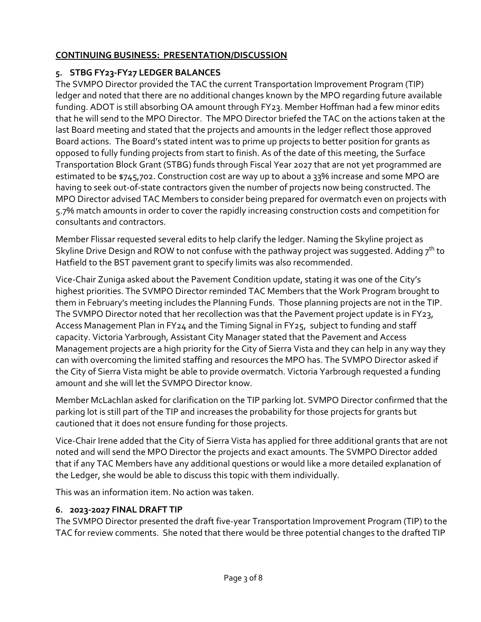# **CONTINUING BUSINESS: PRESENTATION/DISCUSSION**

## **5. STBG FY23-FY27 LEDGER BALANCES**

The SVMPO Director provided the TAC the current Transportation Improvement Program (TIP) ledger and noted that there are no additional changes known by the MPO regarding future available funding. ADOT is still absorbing OA amount through FY23. Member Hoffman had a few minor edits that he will send to the MPO Director. The MPO Director briefed the TAC on the actions taken at the last Board meeting and stated that the projects and amounts in the ledger reflect those approved Board actions. The Board's stated intent was to prime up projects to better position for grants as opposed to fully funding projects from start to finish. As of the date of this meeting, the Surface Transportation Block Grant (STBG) funds through Fiscal Year 2027 that are not yet programmed are estimated to be \$745,702. Construction cost are way up to about a 33% increase and some MPO are having to seek out-of-state contractors given the number of projects now being constructed. The MPO Director advised TAC Members to consider being prepared for overmatch even on projects with 5.7% match amounts in order to cover the rapidly increasing construction costs and competition for consultants and contractors.

Member Flissar requested several edits to help clarify the ledger. Naming the Skyline project as Skyline Drive Design and ROW to not confuse with the pathway project was suggested. Adding  $7<sup>th</sup>$  to Hatfield to the BST pavement grant to specify limits was also recommended.

Vice-Chair Zuniga asked about the Pavement Condition update, stating it was one of the City's highest priorities. The SVMPO Director reminded TAC Members that the Work Program brought to them in February's meeting includes the Planning Funds. Those planning projects are not in the TIP. The SVMPO Director noted that her recollection was that the Pavement project update is in FY23, Access Management Plan in FY24 and the Timing Signal in FY25, subject to funding and staff capacity. Victoria Yarbrough, Assistant City Manager stated that the Pavement and Access Management projects are a high priority for the City of Sierra Vista and they can help in any way they can with overcoming the limited staffing and resources the MPO has. The SVMPO Director asked if the City of Sierra Vista might be able to provide overmatch. Victoria Yarbrough requested a funding amount and she will let the SVMPO Director know.

Member McLachlan asked for clarification on the TIP parking lot. SVMPO Director confirmed that the parking lot is still part of the TIP and increases the probability for those projects for grants but cautioned that it does not ensure funding for those projects.

Vice-Chair Irene added that the City of Sierra Vista has applied for three additional grants that are not noted and will send the MPO Director the projects and exact amounts. The SVMPO Director added that if any TAC Members have any additional questions or would like a more detailed explanation of the Ledger, she would be able to discuss this topic with them individually.

This was an information item. No action was taken.

## **6. 2023-2027 FINAL DRAFT TIP**

The SVMPO Director presented the draft five-year Transportation Improvement Program (TIP) to the TAC for review comments. She noted that there would be three potential changes to the drafted TIP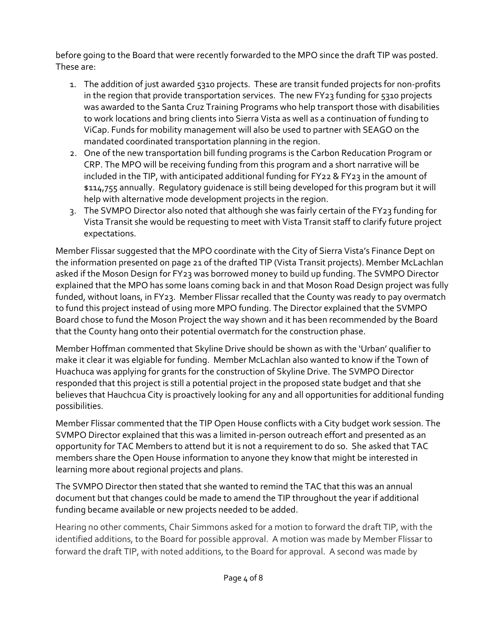before going to the Board that were recently forwarded to the MPO since the draft TIP was posted. These are:

- 1. The addition of just awarded 5310 projects. These are transit funded projects for non-profits in the region that provide transportation services. The new FY23 funding for 5310 projects was awarded to the Santa Cruz Training Programs who help transport those with disabilities to work locations and bring clients into Sierra Vista as well as a continuation of funding to ViCap. Funds for mobility management will also be used to partner with SEAGO on the mandated coordinated transportation planning in the region.
- 2. One of the new transportation bill funding programs is the Carbon Reducation Program or CRP. The MPO will be receiving funding from this program and a short narrative will be included in the TIP, with anticipated additional funding for FY22 & FY23 in the amount of \$114,755 annually. Regulatory guidenace is still being developed for this program but it will help with alternative mode development projects in the region.
- 3. The SVMPO Director also noted that although she was fairly certain of the FY23 funding for Vista Transit she would be requesting to meet with Vista Transit staff to clarify future project expectations.

Member Flissar suggested that the MPO coordinate with the City of Sierra Vista's Finance Dept on the information presented on page 21 of the drafted TIP (Vista Transit projects). Member McLachlan asked if the Moson Design for FY23 was borrowed money to build up funding. The SVMPO Director explained that the MPO has some loans coming back in and that Moson Road Design project was fully funded, without loans, in FY23. Member Flissar recalled that the County was ready to pay overmatch to fund this project instead of using more MPO funding. The Director explained that the SVMPO Board chose to fund the Moson Project the way shown and it has been recommended by the Board that the County hang onto their potential overmatch for the construction phase.

Member Hoffman commented that Skyline Drive should be shown as with the 'Urban' qualifier to make it clear it was elgiable for funding. Member McLachlan also wanted to know if the Town of Huachuca was applying for grants for the construction of Skyline Drive. The SVMPO Director responded that this project is still a potential project in the proposed state budget and that she believes that Hauchcua City is proactively looking for any and all opportunities for additional funding possibilities.

Member Flissar commented that the TIP Open House conflicts with a City budget work session. The SVMPO Director explained that this was a limited in-person outreach effort and presented as an opportunity for TAC Members to attend but it is not a requirement to do so. She asked that TAC members share the Open House information to anyone they know that might be interested in learning more about regional projects and plans.

The SVMPO Director then stated that she wanted to remind the TAC that this was an annual document but that changes could be made to amend the TIP throughout the year if additional funding became available or new projects needed to be added.

Hearing no other comments, Chair Simmons asked for a motion to forward the draft TIP, with the identified additions, to the Board for possible approval. A motion was made by Member Flissar to forward the draft TIP, with noted additions, to the Board for approval. A second was made by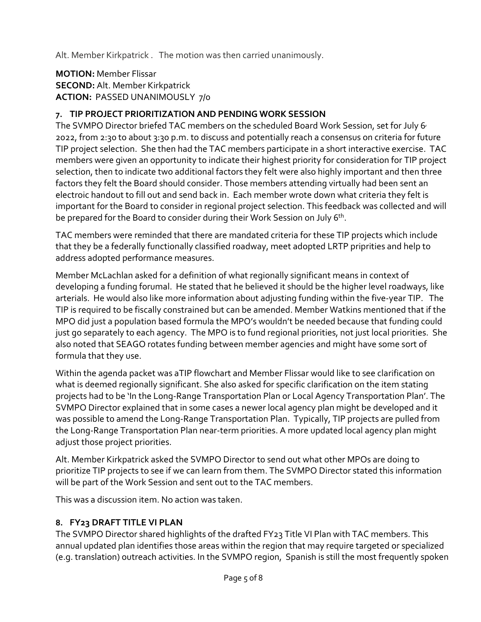Alt. Member Kirkpatrick . The motion was then carried unanimously.

**MOTION:** Member Flissar **SECOND:** Alt. Member Kirkpatrick **ACTION:** PASSED UNANIMOUSLY 7/0

## **7. TIP PROJECT PRIORITIZATION AND PENDING WORK SESSION**

The SVMPO Director briefed TAC members on the scheduled Board Work Session, set for July 6. 2022, from 2:30 to about 3:30 p.m. to discuss and potentially reach a consensus on criteria for future TIP project selection. She then had the TAC members participate in a short interactive exercise. TAC members were given an opportunity to indicate their highest priority for consideration for TIP project selection, then to indicate two additional factors they felt were also highly important and then three factors they felt the Board should consider. Those members attending virtually had been sent an electroic handout to fill out and send back in. Each member wrote down what criteria they felt is important for the Board to consider in regional project selection. This feedback was collected and will be prepared for the Board to consider during their Work Session on July 6<sup>th</sup>.

TAC members were reminded that there are mandated criteria for these TIP projects which include that they be a federally functionally classified roadway, meet adopted LRTP priprities and help to address adopted performance measures.

Member McLachlan asked for a definition of what regionally significant means in context of developing a funding forumal. He stated that he believed it should be the higher level roadways, like arterials. He would also like more information about adjusting funding within the five-year TIP. The TIP is required to be fiscally constrained but can be amended. Member Watkins mentioned that if the MPO did just a population based formula the MPO's wouldn't be needed because that funding could just go separately to each agency. The MPO is to fund regional priorities, not just local priorities. She also noted that SEAGO rotates funding between member agencies and might have some sort of formula that they use.

Within the agenda packet was aTIP flowchart and Member Flissar would like to see clarification on what is deemed regionally significant. She also asked for specific clarification on the item stating projects had to be 'In the Long-Range Transportation Plan or Local Agency Transportation Plan'. The SVMPO Director explained that in some cases a newer local agency plan might be developed and it was possible to amend the Long-Range Transportation Plan. Typically, TIP projects are pulled from the Long-Range Transportation Plan near-term priorities. A more updated local agency plan might adjust those project priorities.

Alt. Member Kirkpatrick asked the SVMPO Director to send out what other MPOs are doing to prioritize TIP projects to see if we can learn from them. The SVMPO Director stated this information will be part of the Work Session and sent out to the TAC members.

This was a discussion item. No action was taken.

## **8. FY23 DRAFT TITLE VI PLAN**

The SVMPO Director shared highlights of the drafted FY23 Title VI Plan with TAC members. This annual updated plan identifies those areas within the region that may require targeted or specialized (e.g. translation) outreach activities. In the SVMPO region, Spanish is still the most frequently spoken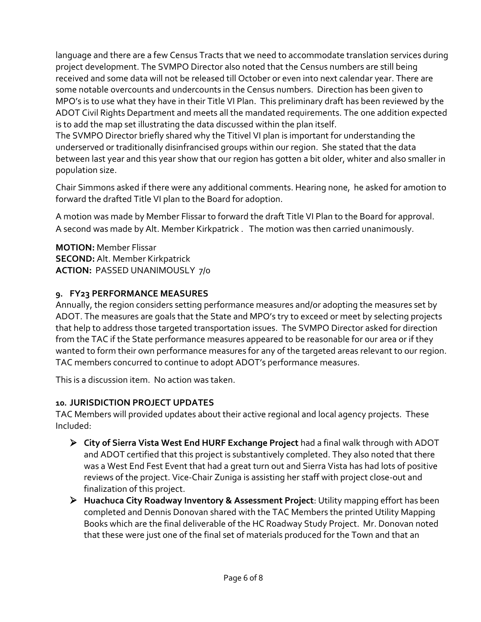language and there are a few Census Tracts that we need to accommodate translation services during project development. The SVMPO Director also noted that the Census numbers are still being received and some data will not be released till October or even into next calendar year. There are some notable overcounts and undercounts in the Census numbers. Direction has been given to MPO's is to use what they have in their Title VI Plan. This preliminary draft has been reviewed by the ADOT Civil Rights Department and meets all the mandated requirements. The one addition expected is to add the map set illustrating the data discussed within the plan itself.

The SVMPO Director briefly shared why the Titivel VI plan is important for understanding the underserved or traditionally disinfrancised groups within our region. She stated that the data between last year and this year show that our region has gotten a bit older, whiter and also smaller in population size.

Chair Simmons asked if there were any additional comments. Hearing none, he asked for amotion to forward the drafted Title VI plan to the Board for adoption.

A motion was made by Member Flissar to forward the draft Title VI Plan to the Board for approval. A second was made by Alt. Member Kirkpatrick . The motion was then carried unanimously.

**MOTION:** Member Flissar **SECOND:** Alt. Member Kirkpatrick **ACTION:** PASSED UNANIMOUSLY 7/0

#### **9. FY23 PERFORMANCE MEASURES**

Annually, the region considers setting performance measures and/or adopting the measures set by ADOT. The measures are goals that the State and MPO's try to exceed or meet by selecting projects that help to address those targeted transportation issues. The SVMPO Director asked for direction from the TAC if the State performance measures appeared to be reasonable for our area or if they wanted to form their own performance measures for any of the targeted areas relevant to our region. TAC members concurred to continue to adopt ADOT's performance measures.

This is a discussion item. No action was taken.

## **10. JURISDICTION PROJECT UPDATES**

TAC Members will provided updates about their active regional and local agency projects. These Included:

- **City of Sierra Vista West End HURF Exchange Project** had a final walk through with ADOT and ADOT certified that this project is substantively completed. They also noted that there was a West End Fest Event that had a great turn out and Sierra Vista has had lots of positive reviews of the project. Vice-Chair Zuniga is assisting her staff with project close-out and finalization of this project.
- **Huachuca City Roadway Inventory & Assessment Project**: Utility mapping effort has been completed and Dennis Donovan shared with the TAC Members the printed Utility Mapping Books which are the final deliverable of the HC Roadway Study Project. Mr. Donovan noted that these were just one of the final set of materials produced for the Town and that an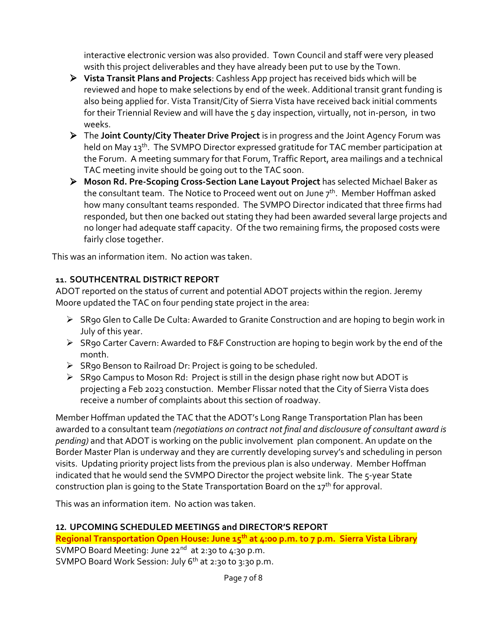interactive electronic version was also provided. Town Council and staff were very pleased wsith this project deliverables and they have already been put to use by the Town.

- **Vista Transit Plans and Projects**: Cashless App project has received bids which will be reviewed and hope to make selections by end of the week. Additional transit grant funding is also being applied for. Vista Transit/City of Sierra Vista have received back initial comments for their Triennial Review and will have the 5 day inspection, virtually, not in-person, in two weeks.
- The **Joint County/City Theater Drive Project** is in progress and the Joint Agency Forum was held on May 13<sup>th</sup>. The SVMPO Director expressed gratitude for TAC member participation at the Forum. A meeting summary for that Forum, Traffic Report, area mailings and a technical TAC meeting invite should be going out to the TAC soon.
- **Moson Rd. Pre-Scoping Cross-Section Lane Layout Project** has selected Michael Baker as the consultant team. The Notice to Proceed went out on June  $7<sup>th</sup>$ . Member Hoffman asked how many consultant teams responded. The SVMPO Director indicated that three firms had responded, but then one backed out stating they had been awarded several large projects and no longer had adequate staff capacity. Of the two remaining firms, the proposed costs were fairly close together.

This was an information item. No action was taken.

## **11. SOUTHCENTRAL DISTRICT REPORT**

ADOT reported on the status of current and potential ADOT projects within the region. Jeremy Moore updated the TAC on four pending state project in the area:

- SR90 Glen to Calle De Culta: Awarded to Granite Construction and are hoping to begin work in July of this year.
- SR90 Carter Cavern: Awarded to F&F Construction are hoping to begin work by the end of the month.
- $\triangleright$  SR90 Benson to Railroad Dr: Project is going to be scheduled.
- $\triangleright$  SR90 Campus to Moson Rd: Project is still in the design phase right now but ADOT is projecting a Feb 2023 constuction. Member Flissar noted that the City of Sierra Vista does receive a number of complaints about this section of roadway.

Member Hoffman updated the TAC that the ADOT's Long Range Transportation Plan has been awarded to a consultant team *(negotiations on contract not final and disclousure of consultant award is pending)* and that ADOT is working on the public involvement plan component. An update on the Border Master Plan is underway and they are currently developing survey's and scheduling in person visits. Updating priority project lists from the previous plan is also underway. Member Hoffman indicated that he would send the SVMPO Director the project website link. The 5-year State construction plan is going to the State Transportation Board on the  $17^{th}$  for approval.

This was an information item. No action was taken.

# **12. UPCOMING SCHEDULED MEETINGS and DIRECTOR'S REPORT**

**Regional Transportation Open House: June 15th at 4:00 p.m. to 7 p.m. Sierra Vista Library** SVMPO Board Meeting: June 22<sup>nd</sup> at 2:30 to 4:30 p.m. SVMPO Board Work Session: July 6<sup>th</sup> at 2:30 to 3:30 p.m.